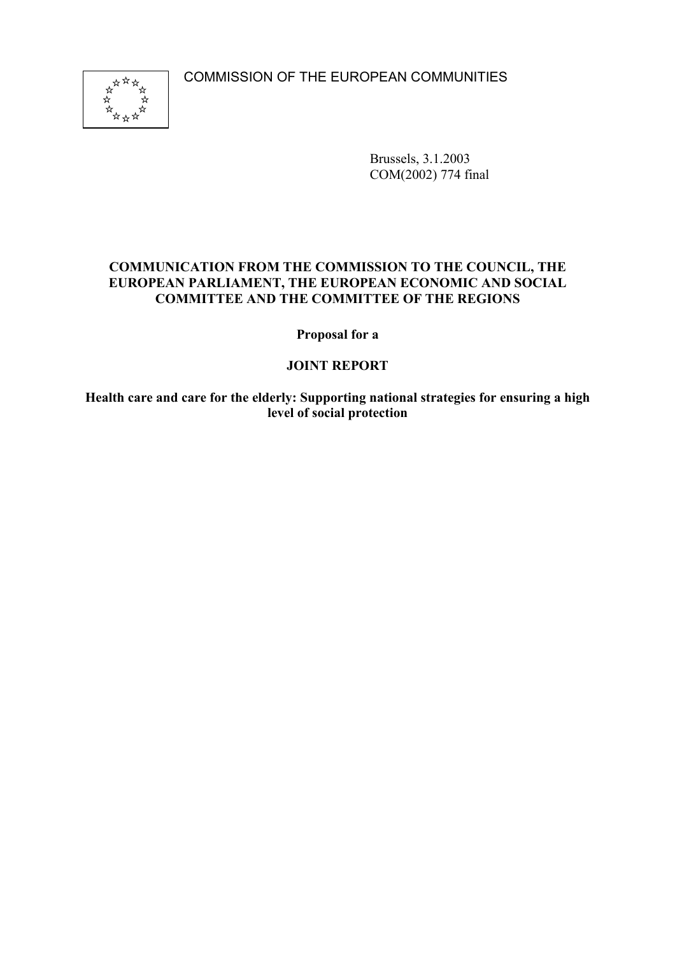COMMISSION OF THE EUROPEAN COMMUNITIES



Brussels, 3.1.2003 COM(2002) 774 final

# **COMMUNICATION FROM THE COMMISSION TO THE COUNCIL, THE EUROPEAN PARLIAMENT, THE EUROPEAN ECONOMIC AND SOCIAL COMMITTEE AND THE COMMITTEE OF THE REGIONS**

**Proposal for a**

# **JOINT REPORT**

**Health care and care for the elderly: Supporting national strategies for ensuring a high level of social protection**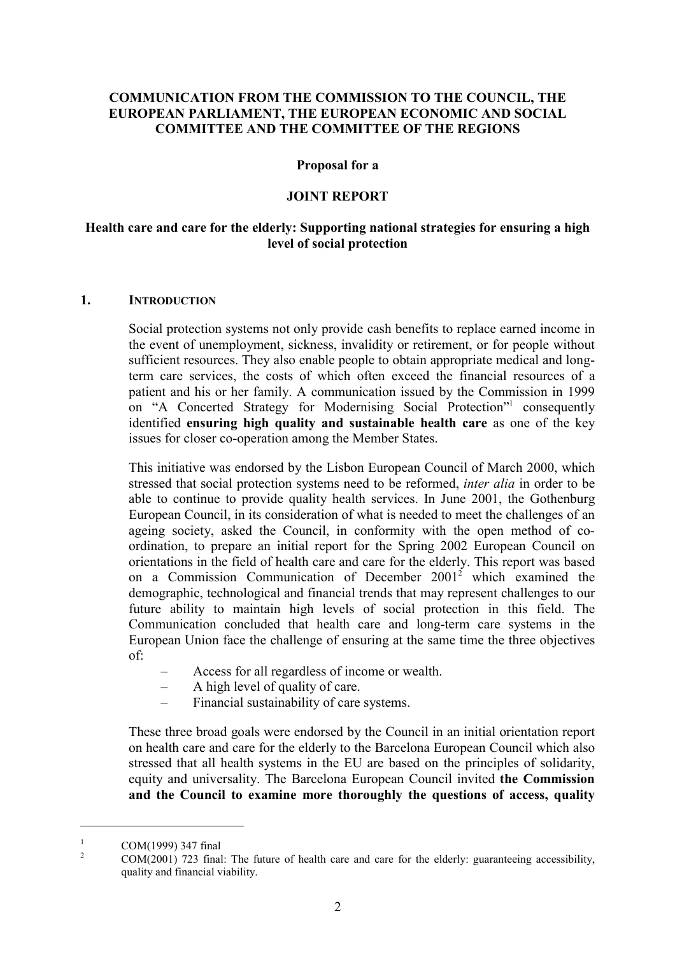# **COMMUNICATION FROM THE COMMISSION TO THE COUNCIL, THE EUROPEAN PARLIAMENT, THE EUROPEAN ECONOMIC AND SOCIAL COMMITTEE AND THE COMMITTEE OF THE REGIONS**

#### **Proposal for a**

#### **JOINT REPORT**

## **Health care and care for the elderly: Supporting national strategies for ensuring a high level of social protection**

#### **1. INTRODUCTION**

Social protection systems not only provide cash benefits to replace earned income in the event of unemployment, sickness, invalidity or retirement, or for people without sufficient resources. They also enable people to obtain appropriate medical and longterm care services, the costs of which often exceed the financial resources of a patient and his or her family. A communication issued by the Commission in 1999 on "A Concerted Strategy for Modernising Social Protection"<sup>1</sup> consequently identified **ensuring high quality and sustainable health care** as one of the key issues for closer co-operation among the Member States.

This initiative was endorsed by the Lisbon European Council of March 2000, which stressed that social protection systems need to be reformed, *inter alia* in order to be able to continue to provide quality health services. In June 2001, the Gothenburg European Council, in its consideration of what is needed to meet the challenges of an ageing society, asked the Council, in conformity with the open method of coordination, to prepare an initial report for the Spring 2002 European Council on orientations in the field of health care and care for the elderly. This report was based on a Commission Communication of December 20012 which examined the demographic, technological and financial trends that may represent challenges to our future ability to maintain high levels of social protection in this field. The Communication concluded that health care and long-term care systems in the European Union face the challenge of ensuring at the same time the three objectives of:

- Access for all regardless of income or wealth.
- A high level of quality of care.
- Financial sustainability of care systems.

These three broad goals were endorsed by the Council in an initial orientation report on health care and care for the elderly to the Barcelona European Council which also stressed that all health systems in the EU are based on the principles of solidarity, equity and universality. The Barcelona European Council invited **the Commission and the Council to examine more thoroughly the questions of access, quality**

 $\overline{a}$ 

<sup>&</sup>lt;sup>1</sup> COM(1999) 347 final<br><sup>2</sup> COM(2001) 723 final: The future of health care and care for the elderly: guaranteeing accessibility, quality and financial viability.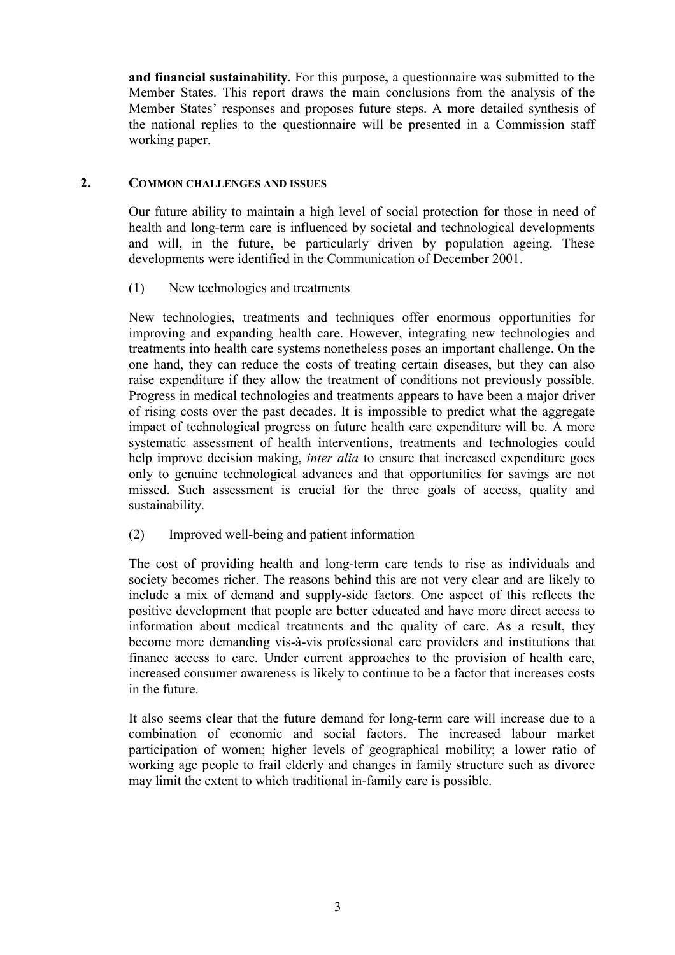**and financial sustainability.** For this purpose**,** a questionnaire was submitted to the Member States. This report draws the main conclusions from the analysis of the Member States' responses and proposes future steps. A more detailed synthesis of the national replies to the questionnaire will be presented in a Commission staff working paper.

#### **2. COMMON CHALLENGES AND ISSUES**

Our future ability to maintain a high level of social protection for those in need of health and long-term care is influenced by societal and technological developments and will, in the future, be particularly driven by population ageing. These developments were identified in the Communication of December 2001.

(1) New technologies and treatments

New technologies, treatments and techniques offer enormous opportunities for improving and expanding health care. However, integrating new technologies and treatments into health care systems nonetheless poses an important challenge. On the one hand, they can reduce the costs of treating certain diseases, but they can also raise expenditure if they allow the treatment of conditions not previously possible. Progress in medical technologies and treatments appears to have been a major driver of rising costs over the past decades. It is impossible to predict what the aggregate impact of technological progress on future health care expenditure will be. A more systematic assessment of health interventions, treatments and technologies could help improve decision making, *inter alia* to ensure that increased expenditure goes only to genuine technological advances and that opportunities for savings are not missed. Such assessment is crucial for the three goals of access, quality and sustainability.

(2) Improved well-being and patient information

The cost of providing health and long-term care tends to rise as individuals and society becomes richer. The reasons behind this are not very clear and are likely to include a mix of demand and supply-side factors. One aspect of this reflects the positive development that people are better educated and have more direct access to information about medical treatments and the quality of care. As a result, they become more demanding vis-à-vis professional care providers and institutions that finance access to care. Under current approaches to the provision of health care, increased consumer awareness is likely to continue to be a factor that increases costs in the future.

It also seems clear that the future demand for long-term care will increase due to a combination of economic and social factors. The increased labour market participation of women; higher levels of geographical mobility; a lower ratio of working age people to frail elderly and changes in family structure such as divorce may limit the extent to which traditional in-family care is possible.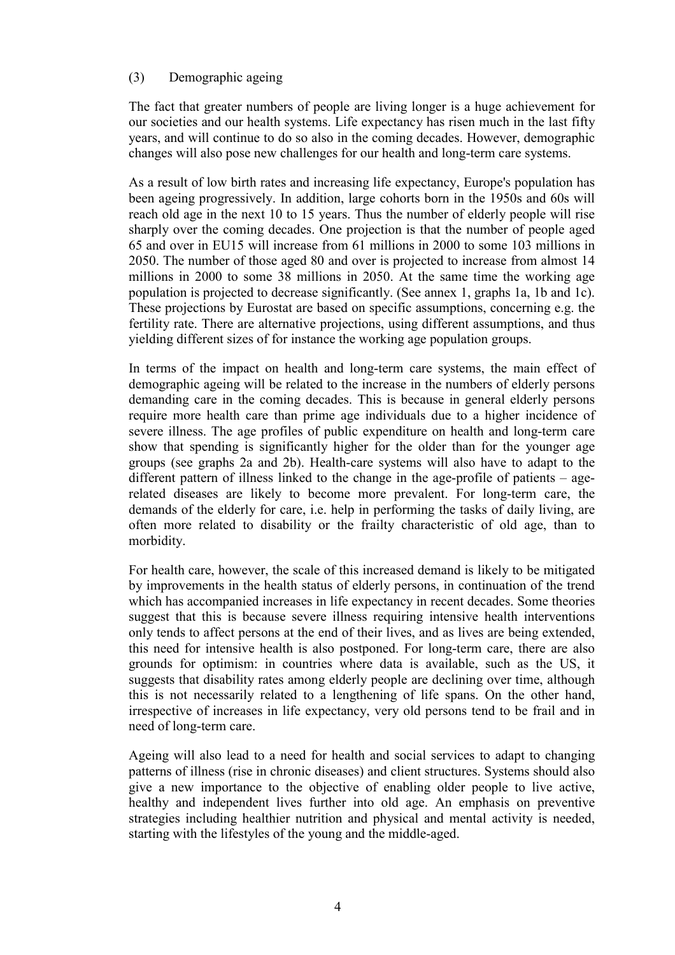# (3) Demographic ageing

The fact that greater numbers of people are living longer is a huge achievement for our societies and our health systems. Life expectancy has risen much in the last fifty years, and will continue to do so also in the coming decades. However, demographic changes will also pose new challenges for our health and long-term care systems.

As a result of low birth rates and increasing life expectancy, Europe's population has been ageing progressively. In addition, large cohorts born in the 1950s and 60s will reach old age in the next 10 to 15 years. Thus the number of elderly people will rise sharply over the coming decades. One projection is that the number of people aged 65 and over in EU15 will increase from 61 millions in 2000 to some 103 millions in 2050. The number of those aged 80 and over is projected to increase from almost 14 millions in 2000 to some 38 millions in 2050. At the same time the working age population is projected to decrease significantly. (See annex 1, graphs 1a, 1b and 1c). These projections by Eurostat are based on specific assumptions, concerning e.g. the fertility rate. There are alternative projections, using different assumptions, and thus yielding different sizes of for instance the working age population groups.

In terms of the impact on health and long-term care systems, the main effect of demographic ageing will be related to the increase in the numbers of elderly persons demanding care in the coming decades. This is because in general elderly persons require more health care than prime age individuals due to a higher incidence of severe illness. The age profiles of public expenditure on health and long-term care show that spending is significantly higher for the older than for the younger age groups (see graphs 2a and 2b). Health-care systems will also have to adapt to the different pattern of illness linked to the change in the age-profile of patients – agerelated diseases are likely to become more prevalent. For long-term care, the demands of the elderly for care, i.e. help in performing the tasks of daily living, are often more related to disability or the frailty characteristic of old age, than to morbidity.

For health care, however, the scale of this increased demand is likely to be mitigated by improvements in the health status of elderly persons, in continuation of the trend which has accompanied increases in life expectancy in recent decades. Some theories suggest that this is because severe illness requiring intensive health interventions only tends to affect persons at the end of their lives, and as lives are being extended, this need for intensive health is also postponed. For long-term care, there are also grounds for optimism: in countries where data is available, such as the US, it suggests that disability rates among elderly people are declining over time, although this is not necessarily related to a lengthening of life spans. On the other hand, irrespective of increases in life expectancy, very old persons tend to be frail and in need of long-term care.

Ageing will also lead to a need for health and social services to adapt to changing patterns of illness (rise in chronic diseases) and client structures. Systems should also give a new importance to the objective of enabling older people to live active, healthy and independent lives further into old age. An emphasis on preventive strategies including healthier nutrition and physical and mental activity is needed, starting with the lifestyles of the young and the middle-aged.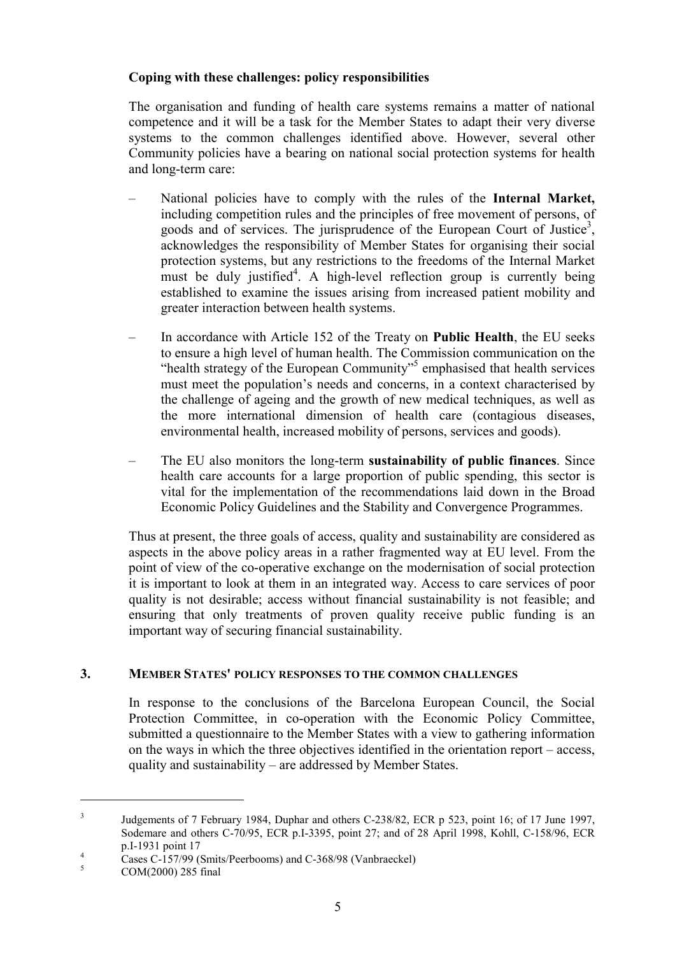# **Coping with these challenges: policy responsibilities**

The organisation and funding of health care systems remains a matter of national competence and it will be a task for the Member States to adapt their very diverse systems to the common challenges identified above. However, several other Community policies have a bearing on national social protection systems for health and long-term care:

- National policies have to comply with the rules of the **Internal Market,** including competition rules and the principles of free movement of persons, of goods and of services. The jurisprudence of the European Court of Justice<sup>3</sup>, acknowledges the responsibility of Member States for organising their social protection systems, but any restrictions to the freedoms of the Internal Market must be duly justified<sup>4</sup>. A high-level reflection group is currently being established to examine the issues arising from increased patient mobility and greater interaction between health systems.
- In accordance with Article 152 of the Treaty on **Public Health**, the EU seeks to ensure a high level of human health. The Commission communication on the "health strategy of the European Community"<sup>5</sup> emphasised that health services must meet the population's needs and concerns, in a context characterised by the challenge of ageing and the growth of new medical techniques, as well as the more international dimension of health care (contagious diseases, environmental health, increased mobility of persons, services and goods).
- The EU also monitors the long-term **sustainability of public finances**. Since health care accounts for a large proportion of public spending, this sector is vital for the implementation of the recommendations laid down in the Broad Economic Policy Guidelines and the Stability and Convergence Programmes.

Thus at present, the three goals of access, quality and sustainability are considered as aspects in the above policy areas in a rather fragmented way at EU level. From the point of view of the co-operative exchange on the modernisation of social protection it is important to look at them in an integrated way. Access to care services of poor quality is not desirable; access without financial sustainability is not feasible; and ensuring that only treatments of proven quality receive public funding is an important way of securing financial sustainability.

# **3. MEMBER STATES' POLICY RESPONSES TO THE COMMON CHALLENGES**

In response to the conclusions of the Barcelona European Council, the Social Protection Committee, in co-operation with the Economic Policy Committee, submitted a questionnaire to the Member States with a view to gathering information on the ways in which the three objectives identified in the orientation report – access, quality and sustainability – are addressed by Member States.

 $\overline{a}$ 

<sup>&</sup>lt;sup>3</sup> Judgements of 7 February 1984, Duphar and others C-238/82, ECR p 523, point 16; of 17 June 1997, Sodemare and others C-70/95, ECR p.I-3395, point 27; and of 28 April 1998, Kohll, C-158/96, ECR

p.I-1931 point 17<br>
Cases C-157/99 (Smits/Peerbooms) and C-368/98 (Vanbraeckel)<br>
COM(2000) 285 final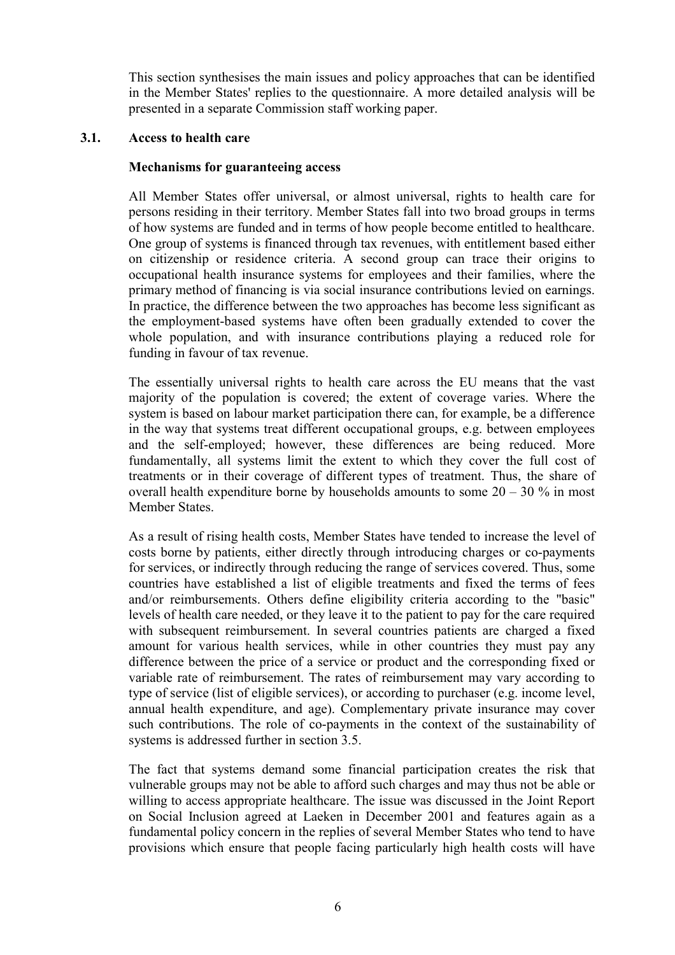This section synthesises the main issues and policy approaches that can be identified in the Member States' replies to the questionnaire. A more detailed analysis will be presented in a separate Commission staff working paper.

#### **3.1. Access to health care**

#### **Mechanisms for guaranteeing access**

All Member States offer universal, or almost universal, rights to health care for persons residing in their territory. Member States fall into two broad groups in terms of how systems are funded and in terms of how people become entitled to healthcare. One group of systems is financed through tax revenues, with entitlement based either on citizenship or residence criteria. A second group can trace their origins to occupational health insurance systems for employees and their families, where the primary method of financing is via social insurance contributions levied on earnings. In practice, the difference between the two approaches has become less significant as the employment-based systems have often been gradually extended to cover the whole population, and with insurance contributions playing a reduced role for funding in favour of tax revenue.

The essentially universal rights to health care across the EU means that the vast majority of the population is covered; the extent of coverage varies. Where the system is based on labour market participation there can, for example, be a difference in the way that systems treat different occupational groups, e.g. between employees and the self-employed; however, these differences are being reduced. More fundamentally, all systems limit the extent to which they cover the full cost of treatments or in their coverage of different types of treatment. Thus, the share of overall health expenditure borne by households amounts to some  $20 - 30$  % in most Member States.

As a result of rising health costs, Member States have tended to increase the level of costs borne by patients, either directly through introducing charges or co-payments for services, or indirectly through reducing the range of services covered. Thus, some countries have established a list of eligible treatments and fixed the terms of fees and/or reimbursements. Others define eligibility criteria according to the "basic" levels of health care needed, or they leave it to the patient to pay for the care required with subsequent reimbursement. In several countries patients are charged a fixed amount for various health services, while in other countries they must pay any difference between the price of a service or product and the corresponding fixed or variable rate of reimbursement. The rates of reimbursement may vary according to type of service (list of eligible services), or according to purchaser (e.g. income level, annual health expenditure, and age). Complementary private insurance may cover such contributions. The role of co-payments in the context of the sustainability of systems is addressed further in section 3.5.

The fact that systems demand some financial participation creates the risk that vulnerable groups may not be able to afford such charges and may thus not be able or willing to access appropriate healthcare. The issue was discussed in the Joint Report on Social Inclusion agreed at Laeken in December 2001 and features again as a fundamental policy concern in the replies of several Member States who tend to have provisions which ensure that people facing particularly high health costs will have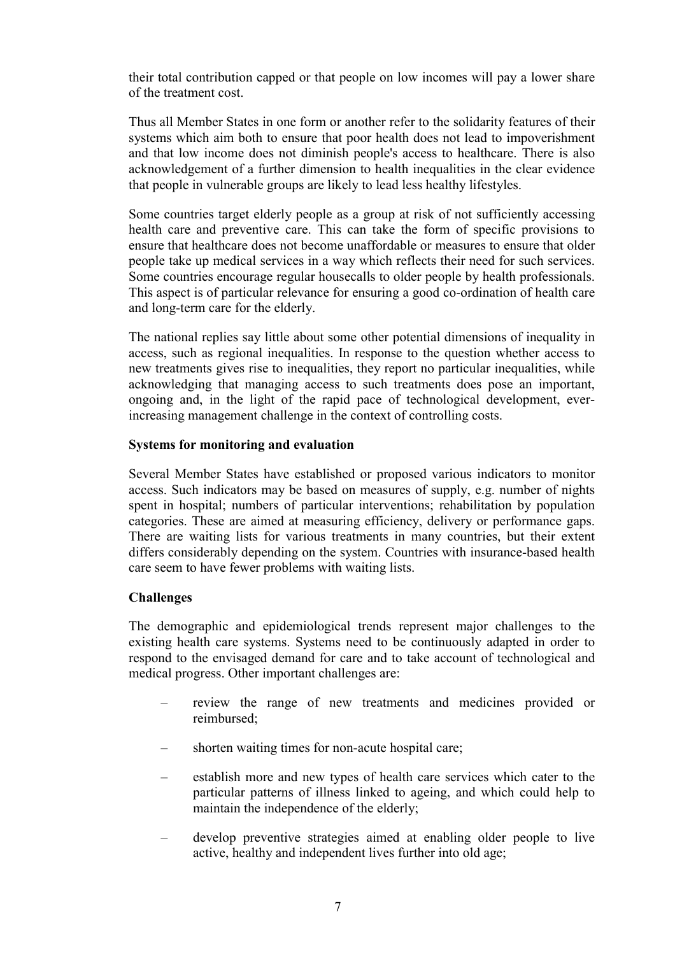their total contribution capped or that people on low incomes will pay a lower share of the treatment cost.

Thus all Member States in one form or another refer to the solidarity features of their systems which aim both to ensure that poor health does not lead to impoverishment and that low income does not diminish people's access to healthcare. There is also acknowledgement of a further dimension to health inequalities in the clear evidence that people in vulnerable groups are likely to lead less healthy lifestyles.

Some countries target elderly people as a group at risk of not sufficiently accessing health care and preventive care. This can take the form of specific provisions to ensure that healthcare does not become unaffordable or measures to ensure that older people take up medical services in a way which reflects their need for such services. Some countries encourage regular housecalls to older people by health professionals. This aspect is of particular relevance for ensuring a good co-ordination of health care and long-term care for the elderly.

The national replies say little about some other potential dimensions of inequality in access, such as regional inequalities. In response to the question whether access to new treatments gives rise to inequalities, they report no particular inequalities, while acknowledging that managing access to such treatments does pose an important, ongoing and, in the light of the rapid pace of technological development, everincreasing management challenge in the context of controlling costs.

# **Systems for monitoring and evaluation**

Several Member States have established or proposed various indicators to monitor access. Such indicators may be based on measures of supply, e.g. number of nights spent in hospital; numbers of particular interventions; rehabilitation by population categories. These are aimed at measuring efficiency, delivery or performance gaps. There are waiting lists for various treatments in many countries, but their extent differs considerably depending on the system. Countries with insurance-based health care seem to have fewer problems with waiting lists.

# **Challenges**

The demographic and epidemiological trends represent major challenges to the existing health care systems. Systems need to be continuously adapted in order to respond to the envisaged demand for care and to take account of technological and medical progress. Other important challenges are:

- review the range of new treatments and medicines provided or reimbursed;
- shorten waiting times for non-acute hospital care;
- establish more and new types of health care services which cater to the particular patterns of illness linked to ageing, and which could help to maintain the independence of the elderly;
- develop preventive strategies aimed at enabling older people to live active, healthy and independent lives further into old age;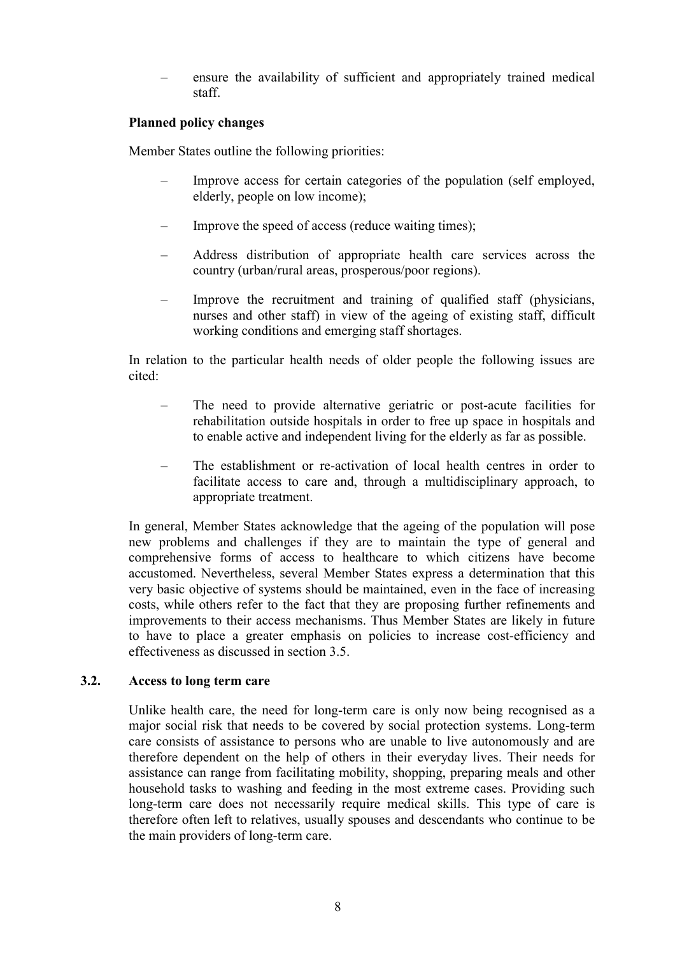– ensure the availability of sufficient and appropriately trained medical staff.

# **Planned policy changes**

Member States outline the following priorities:

- Improve access for certain categories of the population (self employed, elderly, people on low income);
- Improve the speed of access (reduce waiting times);
- Address distribution of appropriate health care services across the country (urban/rural areas, prosperous/poor regions).
- Improve the recruitment and training of qualified staff (physicians, nurses and other staff) in view of the ageing of existing staff, difficult working conditions and emerging staff shortages.

In relation to the particular health needs of older people the following issues are cited:

- The need to provide alternative geriatric or post-acute facilities for rehabilitation outside hospitals in order to free up space in hospitals and to enable active and independent living for the elderly as far as possible.
- The establishment or re-activation of local health centres in order to facilitate access to care and, through a multidisciplinary approach, to appropriate treatment.

In general, Member States acknowledge that the ageing of the population will pose new problems and challenges if they are to maintain the type of general and comprehensive forms of access to healthcare to which citizens have become accustomed. Nevertheless, several Member States express a determination that this very basic objective of systems should be maintained, even in the face of increasing costs, while others refer to the fact that they are proposing further refinements and improvements to their access mechanisms. Thus Member States are likely in future to have to place a greater emphasis on policies to increase cost-efficiency and effectiveness as discussed in section 3.5.

#### **3.2. Access to long term care**

Unlike health care, the need for long-term care is only now being recognised as a major social risk that needs to be covered by social protection systems. Long-term care consists of assistance to persons who are unable to live autonomously and are therefore dependent on the help of others in their everyday lives. Their needs for assistance can range from facilitating mobility, shopping, preparing meals and other household tasks to washing and feeding in the most extreme cases. Providing such long-term care does not necessarily require medical skills. This type of care is therefore often left to relatives, usually spouses and descendants who continue to be the main providers of long-term care.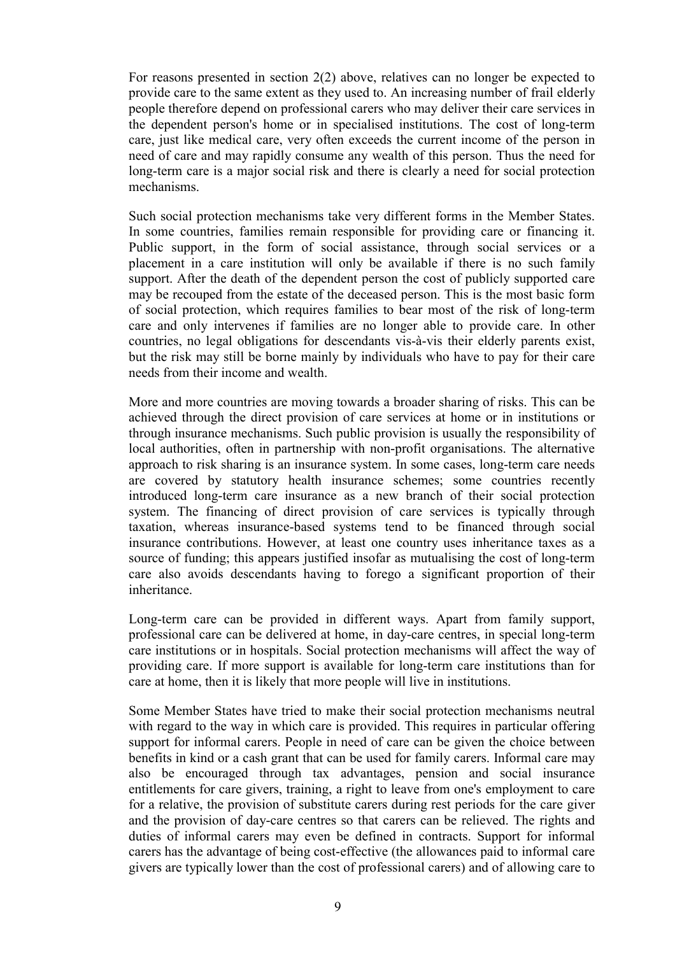For reasons presented in section 2(2) above, relatives can no longer be expected to provide care to the same extent as they used to. An increasing number of frail elderly people therefore depend on professional carers who may deliver their care services in the dependent person's home or in specialised institutions. The cost of long-term care, just like medical care, very often exceeds the current income of the person in need of care and may rapidly consume any wealth of this person. Thus the need for long-term care is a major social risk and there is clearly a need for social protection mechanisms.

Such social protection mechanisms take very different forms in the Member States. In some countries, families remain responsible for providing care or financing it. Public support, in the form of social assistance, through social services or a placement in a care institution will only be available if there is no such family support. After the death of the dependent person the cost of publicly supported care may be recouped from the estate of the deceased person. This is the most basic form of social protection, which requires families to bear most of the risk of long-term care and only intervenes if families are no longer able to provide care. In other countries, no legal obligations for descendants vis-à-vis their elderly parents exist, but the risk may still be borne mainly by individuals who have to pay for their care needs from their income and wealth.

More and more countries are moving towards a broader sharing of risks. This can be achieved through the direct provision of care services at home or in institutions or through insurance mechanisms. Such public provision is usually the responsibility of local authorities, often in partnership with non-profit organisations. The alternative approach to risk sharing is an insurance system. In some cases, long-term care needs are covered by statutory health insurance schemes; some countries recently introduced long-term care insurance as a new branch of their social protection system. The financing of direct provision of care services is typically through taxation, whereas insurance-based systems tend to be financed through social insurance contributions. However, at least one country uses inheritance taxes as a source of funding; this appears justified insofar as mutualising the cost of long-term care also avoids descendants having to forego a significant proportion of their inheritance.

Long-term care can be provided in different ways. Apart from family support, professional care can be delivered at home, in day-care centres, in special long-term care institutions or in hospitals. Social protection mechanisms will affect the way of providing care. If more support is available for long-term care institutions than for care at home, then it is likely that more people will live in institutions.

Some Member States have tried to make their social protection mechanisms neutral with regard to the way in which care is provided. This requires in particular offering support for informal carers. People in need of care can be given the choice between benefits in kind or a cash grant that can be used for family carers. Informal care may also be encouraged through tax advantages, pension and social insurance entitlements for care givers, training, a right to leave from one's employment to care for a relative, the provision of substitute carers during rest periods for the care giver and the provision of day-care centres so that carers can be relieved. The rights and duties of informal carers may even be defined in contracts. Support for informal carers has the advantage of being cost-effective (the allowances paid to informal care givers are typically lower than the cost of professional carers) and of allowing care to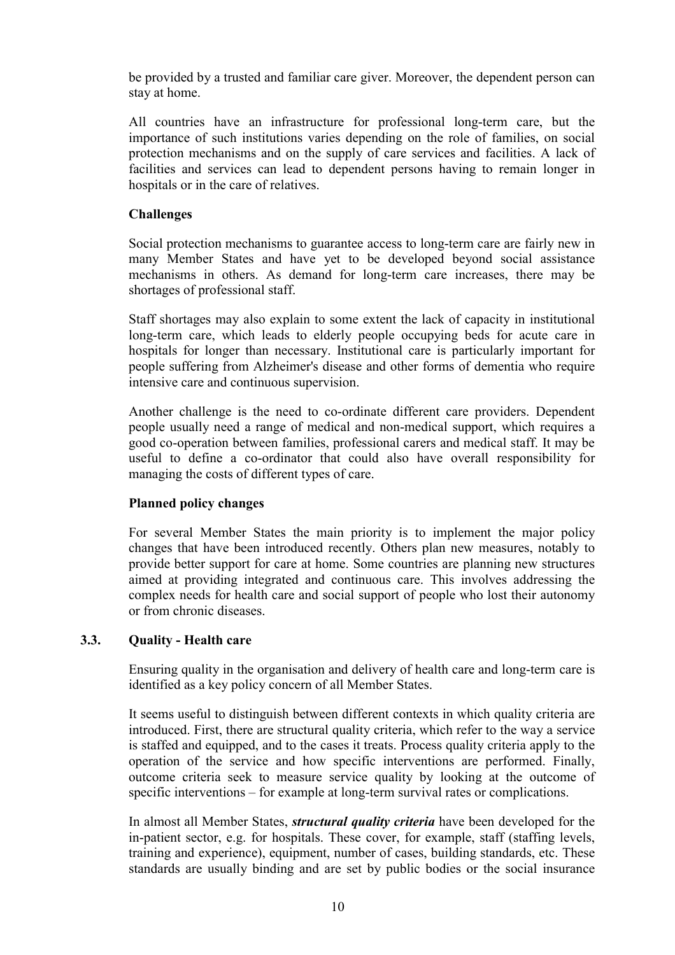be provided by a trusted and familiar care giver. Moreover, the dependent person can stay at home.

All countries have an infrastructure for professional long-term care, but the importance of such institutions varies depending on the role of families, on social protection mechanisms and on the supply of care services and facilities. A lack of facilities and services can lead to dependent persons having to remain longer in hospitals or in the care of relatives.

# **Challenges**

Social protection mechanisms to guarantee access to long-term care are fairly new in many Member States and have yet to be developed beyond social assistance mechanisms in others. As demand for long-term care increases, there may be shortages of professional staff.

Staff shortages may also explain to some extent the lack of capacity in institutional long-term care, which leads to elderly people occupying beds for acute care in hospitals for longer than necessary. Institutional care is particularly important for people suffering from Alzheimer's disease and other forms of dementia who require intensive care and continuous supervision.

Another challenge is the need to co-ordinate different care providers. Dependent people usually need a range of medical and non-medical support, which requires a good co-operation between families, professional carers and medical staff. It may be useful to define a co-ordinator that could also have overall responsibility for managing the costs of different types of care.

# **Planned policy changes**

For several Member States the main priority is to implement the major policy changes that have been introduced recently. Others plan new measures, notably to provide better support for care at home. Some countries are planning new structures aimed at providing integrated and continuous care. This involves addressing the complex needs for health care and social support of people who lost their autonomy or from chronic diseases.

# **3.3. Quality - Health care**

Ensuring quality in the organisation and delivery of health care and long-term care is identified as a key policy concern of all Member States.

It seems useful to distinguish between different contexts in which quality criteria are introduced. First, there are structural quality criteria, which refer to the way a service is staffed and equipped, and to the cases it treats. Process quality criteria apply to the operation of the service and how specific interventions are performed. Finally, outcome criteria seek to measure service quality by looking at the outcome of specific interventions – for example at long-term survival rates or complications.

In almost all Member States, *structural quality criteria* have been developed for the in-patient sector, e.g. for hospitals. These cover, for example, staff (staffing levels, training and experience), equipment, number of cases, building standards, etc. These standards are usually binding and are set by public bodies or the social insurance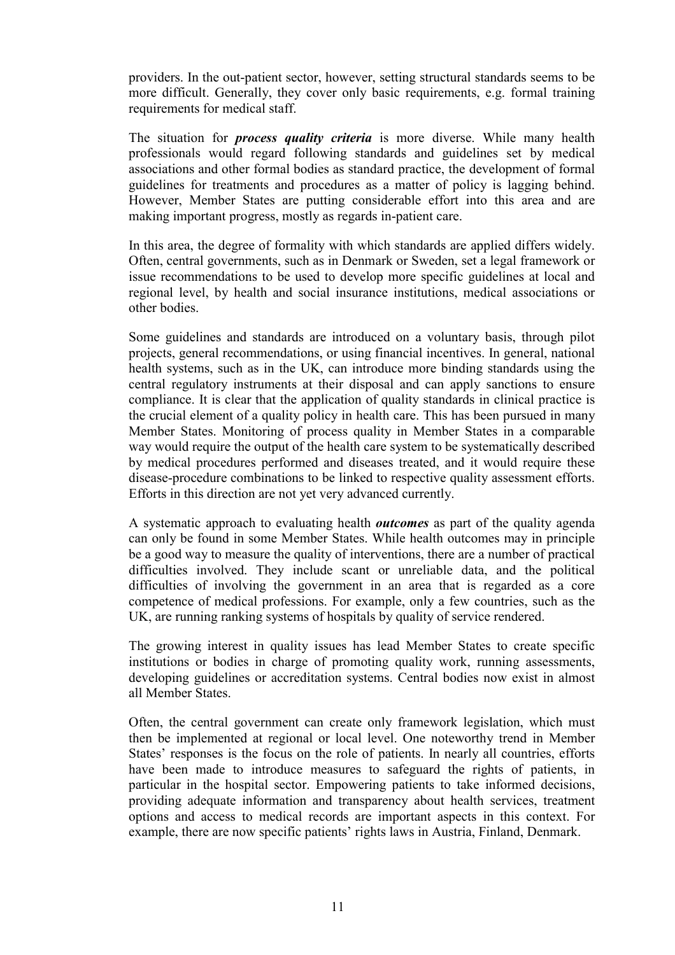providers. In the out-patient sector, however, setting structural standards seems to be more difficult. Generally, they cover only basic requirements, e.g. formal training requirements for medical staff.

The situation for *process quality criteria* is more diverse. While many health professionals would regard following standards and guidelines set by medical associations and other formal bodies as standard practice, the development of formal guidelines for treatments and procedures as a matter of policy is lagging behind. However, Member States are putting considerable effort into this area and are making important progress, mostly as regards in-patient care.

In this area, the degree of formality with which standards are applied differs widely. Often, central governments, such as in Denmark or Sweden, set a legal framework or issue recommendations to be used to develop more specific guidelines at local and regional level, by health and social insurance institutions, medical associations or other bodies.

Some guidelines and standards are introduced on a voluntary basis, through pilot projects, general recommendations, or using financial incentives. In general, national health systems, such as in the UK, can introduce more binding standards using the central regulatory instruments at their disposal and can apply sanctions to ensure compliance. It is clear that the application of quality standards in clinical practice is the crucial element of a quality policy in health care. This has been pursued in many Member States. Monitoring of process quality in Member States in a comparable way would require the output of the health care system to be systematically described by medical procedures performed and diseases treated, and it would require these disease-procedure combinations to be linked to respective quality assessment efforts. Efforts in this direction are not yet very advanced currently.

A systematic approach to evaluating health *outcomes* as part of the quality agenda can only be found in some Member States. While health outcomes may in principle be a good way to measure the quality of interventions, there are a number of practical difficulties involved. They include scant or unreliable data, and the political difficulties of involving the government in an area that is regarded as a core competence of medical professions. For example, only a few countries, such as the UK, are running ranking systems of hospitals by quality of service rendered.

The growing interest in quality issues has lead Member States to create specific institutions or bodies in charge of promoting quality work, running assessments, developing guidelines or accreditation systems. Central bodies now exist in almost all Member States.

Often, the central government can create only framework legislation, which must then be implemented at regional or local level. One noteworthy trend in Member States' responses is the focus on the role of patients. In nearly all countries, efforts have been made to introduce measures to safeguard the rights of patients, in particular in the hospital sector. Empowering patients to take informed decisions, providing adequate information and transparency about health services, treatment options and access to medical records are important aspects in this context. For example, there are now specific patients' rights laws in Austria, Finland, Denmark.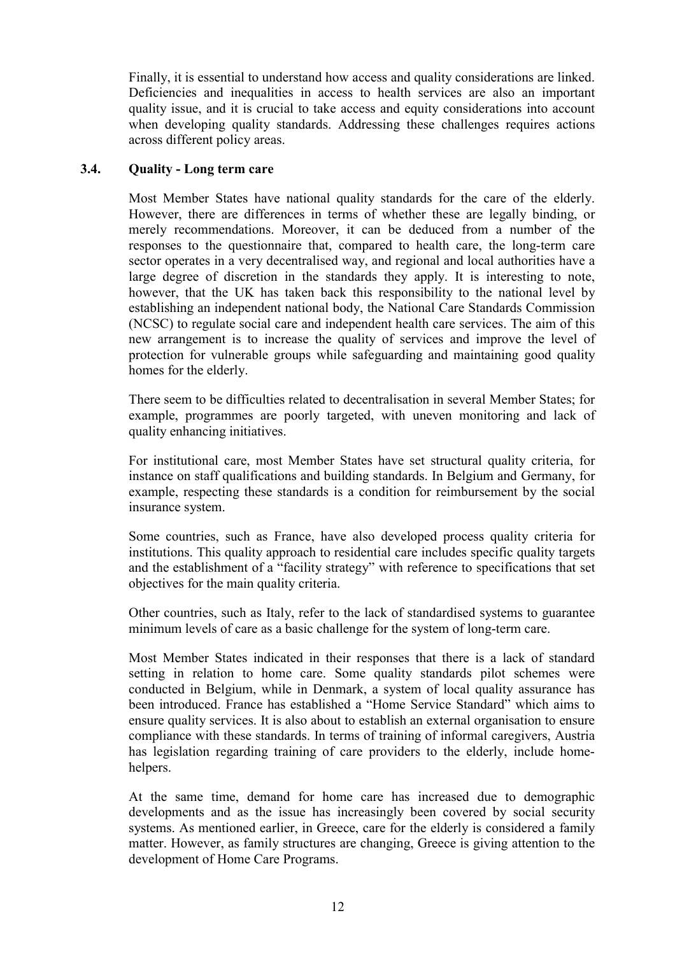Finally, it is essential to understand how access and quality considerations are linked. Deficiencies and inequalities in access to health services are also an important quality issue, and it is crucial to take access and equity considerations into account when developing quality standards. Addressing these challenges requires actions across different policy areas.

#### **3.4. Quality - Long term care**

Most Member States have national quality standards for the care of the elderly. However, there are differences in terms of whether these are legally binding, or merely recommendations. Moreover, it can be deduced from a number of the responses to the questionnaire that, compared to health care, the long-term care sector operates in a very decentralised way, and regional and local authorities have a large degree of discretion in the standards they apply. It is interesting to note, however, that the UK has taken back this responsibility to the national level by establishing an independent national body, the National Care Standards Commission (NCSC) to regulate social care and independent health care services. The aim of this new arrangement is to increase the quality of services and improve the level of protection for vulnerable groups while safeguarding and maintaining good quality homes for the elderly.

There seem to be difficulties related to decentralisation in several Member States; for example, programmes are poorly targeted, with uneven monitoring and lack of quality enhancing initiatives.

For institutional care, most Member States have set structural quality criteria, for instance on staff qualifications and building standards. In Belgium and Germany, for example, respecting these standards is a condition for reimbursement by the social insurance system.

Some countries, such as France, have also developed process quality criteria for institutions. This quality approach to residential care includes specific quality targets and the establishment of a "facility strategy" with reference to specifications that set objectives for the main quality criteria.

Other countries, such as Italy, refer to the lack of standardised systems to guarantee minimum levels of care as a basic challenge for the system of long-term care.

Most Member States indicated in their responses that there is a lack of standard setting in relation to home care. Some quality standards pilot schemes were conducted in Belgium, while in Denmark, a system of local quality assurance has been introduced. France has established a "Home Service Standard" which aims to ensure quality services. It is also about to establish an external organisation to ensure compliance with these standards. In terms of training of informal caregivers, Austria has legislation regarding training of care providers to the elderly, include homehelpers.

At the same time, demand for home care has increased due to demographic developments and as the issue has increasingly been covered by social security systems. As mentioned earlier, in Greece, care for the elderly is considered a family matter. However, as family structures are changing, Greece is giving attention to the development of Home Care Programs.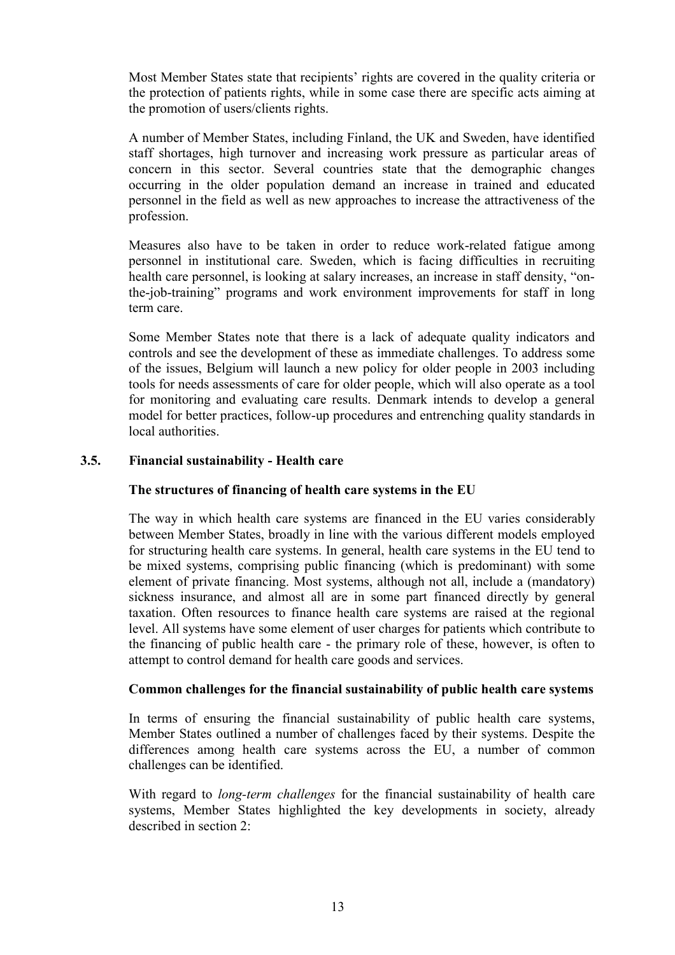Most Member States state that recipients' rights are covered in the quality criteria or the protection of patients rights, while in some case there are specific acts aiming at the promotion of users/clients rights.

A number of Member States, including Finland, the UK and Sweden, have identified staff shortages, high turnover and increasing work pressure as particular areas of concern in this sector. Several countries state that the demographic changes occurring in the older population demand an increase in trained and educated personnel in the field as well as new approaches to increase the attractiveness of the profession.

Measures also have to be taken in order to reduce work-related fatigue among personnel in institutional care. Sweden, which is facing difficulties in recruiting health care personnel, is looking at salary increases, an increase in staff density, "onthe-job-training" programs and work environment improvements for staff in long term care.

Some Member States note that there is a lack of adequate quality indicators and controls and see the development of these as immediate challenges. To address some of the issues, Belgium will launch a new policy for older people in 2003 including tools for needs assessments of care for older people, which will also operate as a tool for monitoring and evaluating care results. Denmark intends to develop a general model for better practices, follow-up procedures and entrenching quality standards in local authorities.

# **3.5. Financial sustainability - Health care**

#### **The structures of financing of health care systems in the EU**

The way in which health care systems are financed in the EU varies considerably between Member States, broadly in line with the various different models employed for structuring health care systems. In general, health care systems in the EU tend to be mixed systems, comprising public financing (which is predominant) with some element of private financing. Most systems, although not all, include a (mandatory) sickness insurance, and almost all are in some part financed directly by general taxation. Often resources to finance health care systems are raised at the regional level. All systems have some element of user charges for patients which contribute to the financing of public health care - the primary role of these, however, is often to attempt to control demand for health care goods and services.

#### **Common challenges for the financial sustainability of public health care systems**

In terms of ensuring the financial sustainability of public health care systems, Member States outlined a number of challenges faced by their systems. Despite the differences among health care systems across the EU, a number of common challenges can be identified.

With regard to *long-term challenges* for the financial sustainability of health care systems, Member States highlighted the key developments in society, already described in section 2: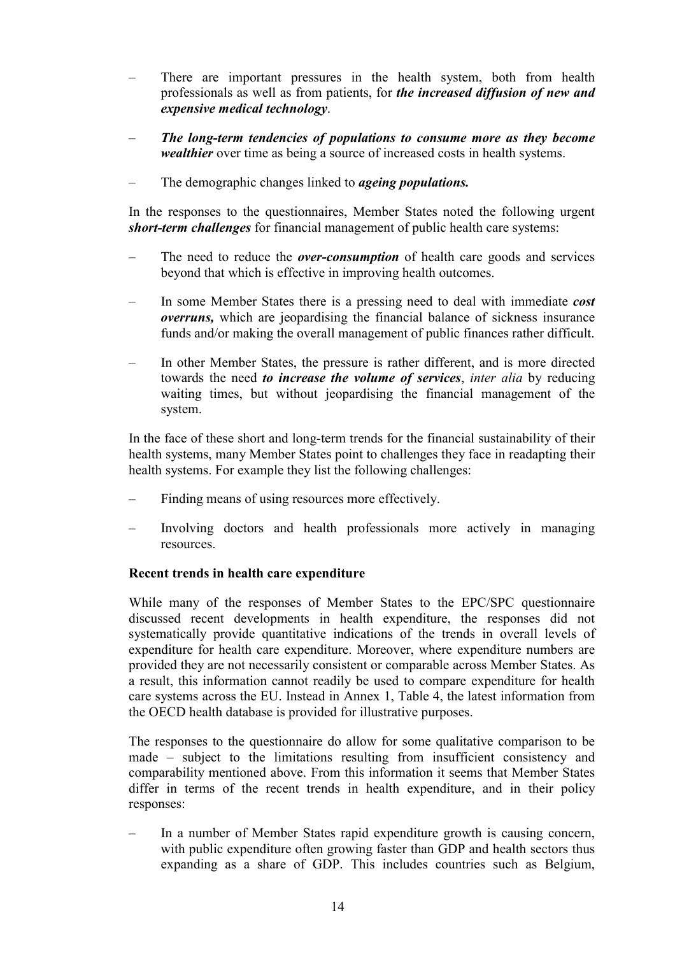- There are important pressures in the health system, both from health professionals as well as from patients, for *the increased diffusion of new and expensive medical technology*.
- *The long-term tendencies of populations to consume more as they become wealthier* over time as being a source of increased costs in health systems.
- The demographic changes linked to *ageing populations.*

In the responses to the questionnaires, Member States noted the following urgent *short-term challenges* for financial management of public health care systems:

- The need to reduce the *over-consumption* of health care goods and services beyond that which is effective in improving health outcomes.
- In some Member States there is a pressing need to deal with immediate *cost overruns,* which are jeopardising the financial balance of sickness insurance funds and/or making the overall management of public finances rather difficult.
- In other Member States, the pressure is rather different, and is more directed towards the need *to increase the volume of services*, *inter alia* by reducing waiting times, but without jeopardising the financial management of the system.

In the face of these short and long-term trends for the financial sustainability of their health systems, many Member States point to challenges they face in readapting their health systems. For example they list the following challenges:

- Finding means of using resources more effectively.
- Involving doctors and health professionals more actively in managing resources.

#### **Recent trends in health care expenditure**

While many of the responses of Member States to the EPC/SPC questionnaire discussed recent developments in health expenditure, the responses did not systematically provide quantitative indications of the trends in overall levels of expenditure for health care expenditure. Moreover, where expenditure numbers are provided they are not necessarily consistent or comparable across Member States. As a result, this information cannot readily be used to compare expenditure for health care systems across the EU. Instead in Annex 1, Table 4, the latest information from the OECD health database is provided for illustrative purposes.

The responses to the questionnaire do allow for some qualitative comparison to be made – subject to the limitations resulting from insufficient consistency and comparability mentioned above. From this information it seems that Member States differ in terms of the recent trends in health expenditure, and in their policy responses:

– In a number of Member States rapid expenditure growth is causing concern, with public expenditure often growing faster than GDP and health sectors thus expanding as a share of GDP. This includes countries such as Belgium,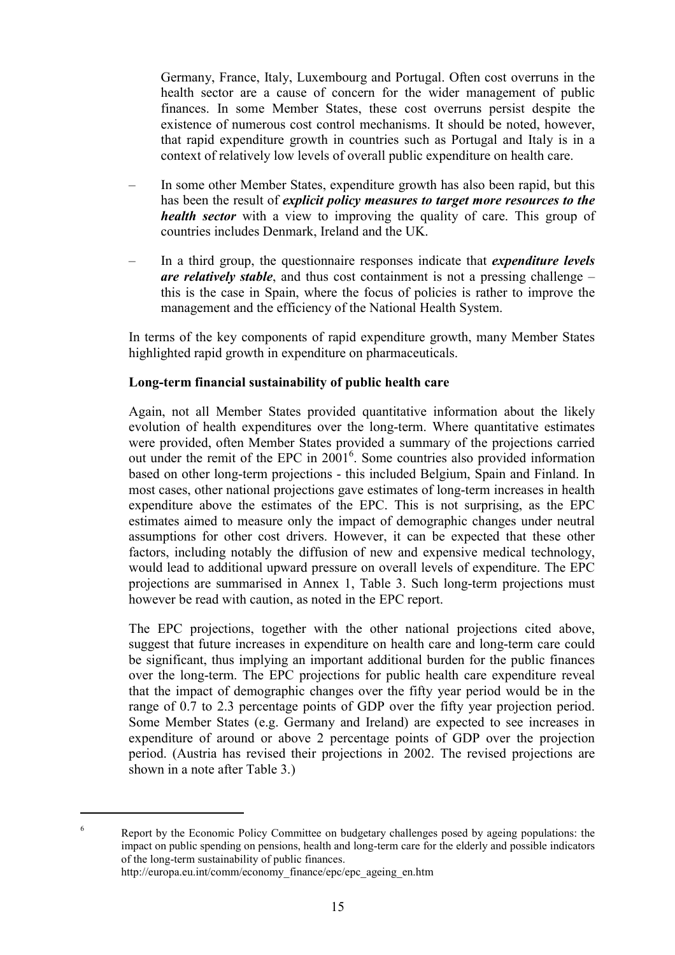Germany, France, Italy, Luxembourg and Portugal. Often cost overruns in the health sector are a cause of concern for the wider management of public finances. In some Member States, these cost overruns persist despite the existence of numerous cost control mechanisms. It should be noted, however, that rapid expenditure growth in countries such as Portugal and Italy is in a context of relatively low levels of overall public expenditure on health care.

- In some other Member States, expenditure growth has also been rapid, but this has been the result of *explicit policy measures to target more resources to the health sector* with a view to improving the quality of care. This group of countries includes Denmark, Ireland and the UK.
- In a third group, the questionnaire responses indicate that *expenditure levels are relatively stable*, and thus cost containment is not a pressing challenge – this is the case in Spain, where the focus of policies is rather to improve the management and the efficiency of the National Health System.

In terms of the key components of rapid expenditure growth, many Member States highlighted rapid growth in expenditure on pharmaceuticals.

# **Long-term financial sustainability of public health care**

Again, not all Member States provided quantitative information about the likely evolution of health expenditures over the long-term. Where quantitative estimates were provided, often Member States provided a summary of the projections carried out under the remit of the EPC in 2001<sup>6</sup>. Some countries also provided information based on other long-term projections - this included Belgium, Spain and Finland. In most cases, other national projections gave estimates of long-term increases in health expenditure above the estimates of the EPC. This is not surprising, as the EPC estimates aimed to measure only the impact of demographic changes under neutral assumptions for other cost drivers. However, it can be expected that these other factors, including notably the diffusion of new and expensive medical technology, would lead to additional upward pressure on overall levels of expenditure. The EPC projections are summarised in Annex 1, Table 3. Such long-term projections must however be read with caution, as noted in the EPC report.

The EPC projections, together with the other national projections cited above, suggest that future increases in expenditure on health care and long-term care could be significant, thus implying an important additional burden for the public finances over the long-term. The EPC projections for public health care expenditure reveal that the impact of demographic changes over the fifty year period would be in the range of 0.7 to 2.3 percentage points of GDP over the fifty year projection period. Some Member States (e.g. Germany and Ireland) are expected to see increases in expenditure of around or above 2 percentage points of GDP over the projection period. (Austria has revised their projections in 2002. The revised projections are shown in a note after Table 3.)

 $\overline{a}$ 

<sup>&</sup>lt;sup>6</sup> Report by the Economic Policy Committee on budgetary challenges posed by ageing populations: the impact on public spending on pensions, health and long-term care for the elderly and possible indicators of the long-term sustainability of public finances. http://europa.eu.int/comm/economy\_finance/epc/epc\_ageing\_en.htm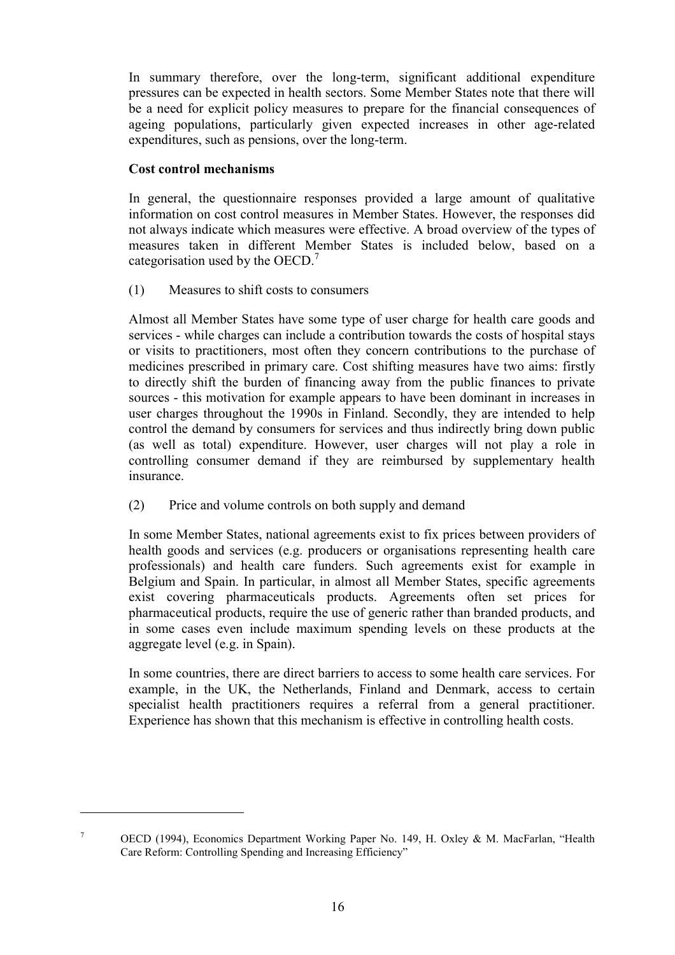In summary therefore, over the long-term, significant additional expenditure pressures can be expected in health sectors. Some Member States note that there will be a need for explicit policy measures to prepare for the financial consequences of ageing populations, particularly given expected increases in other age-related expenditures, such as pensions, over the long-term.

# **Cost control mechanisms**

 $\overline{a}$ 

In general, the questionnaire responses provided a large amount of qualitative information on cost control measures in Member States. However, the responses did not always indicate which measures were effective. A broad overview of the types of measures taken in different Member States is included below, based on a categorisation used by the  $OECD.<sup>7</sup>$ 

(1) Measures to shift costs to consumers

Almost all Member States have some type of user charge for health care goods and services - while charges can include a contribution towards the costs of hospital stays or visits to practitioners, most often they concern contributions to the purchase of medicines prescribed in primary care. Cost shifting measures have two aims: firstly to directly shift the burden of financing away from the public finances to private sources - this motivation for example appears to have been dominant in increases in user charges throughout the 1990s in Finland. Secondly, they are intended to help control the demand by consumers for services and thus indirectly bring down public (as well as total) expenditure. However, user charges will not play a role in controlling consumer demand if they are reimbursed by supplementary health insurance.

(2) Price and volume controls on both supply and demand

In some Member States, national agreements exist to fix prices between providers of health goods and services (e.g. producers or organisations representing health care professionals) and health care funders. Such agreements exist for example in Belgium and Spain. In particular, in almost all Member States, specific agreements exist covering pharmaceuticals products. Agreements often set prices for pharmaceutical products, require the use of generic rather than branded products, and in some cases even include maximum spending levels on these products at the aggregate level (e.g. in Spain).

In some countries, there are direct barriers to access to some health care services. For example, in the UK, the Netherlands, Finland and Denmark, access to certain specialist health practitioners requires a referral from a general practitioner. Experience has shown that this mechanism is effective in controlling health costs.

<sup>7</sup> OECD (1994), Economics Department Working Paper No. 149, H. Oxley & M. MacFarlan, "Health Care Reform: Controlling Spending and Increasing Efficiency"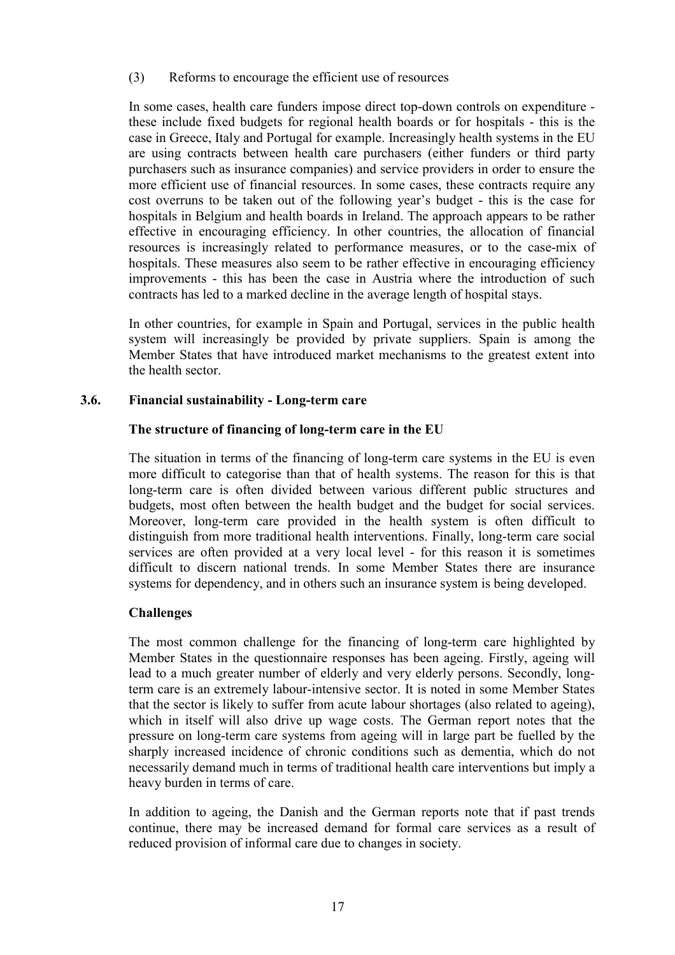(3) Reforms to encourage the efficient use of resources

In some cases, health care funders impose direct top-down controls on expenditure these include fixed budgets for regional health boards or for hospitals - this is the case in Greece, Italy and Portugal for example. Increasingly health systems in the EU are using contracts between health care purchasers (either funders or third party purchasers such as insurance companies) and service providers in order to ensure the more efficient use of financial resources. In some cases, these contracts require any cost overruns to be taken out of the following year's budget - this is the case for hospitals in Belgium and health boards in Ireland. The approach appears to be rather effective in encouraging efficiency. In other countries, the allocation of financial resources is increasingly related to performance measures, or to the case-mix of hospitals. These measures also seem to be rather effective in encouraging efficiency improvements - this has been the case in Austria where the introduction of such contracts has led to a marked decline in the average length of hospital stays.

In other countries, for example in Spain and Portugal, services in the public health system will increasingly be provided by private suppliers. Spain is among the Member States that have introduced market mechanisms to the greatest extent into the health sector.

# **3.6. Financial sustainability - Long-term care**

# **The structure of financing of long-term care in the EU**

The situation in terms of the financing of long-term care systems in the EU is even more difficult to categorise than that of health systems. The reason for this is that long-term care is often divided between various different public structures and budgets, most often between the health budget and the budget for social services. Moreover, long-term care provided in the health system is often difficult to distinguish from more traditional health interventions. Finally, long-term care social services are often provided at a very local level - for this reason it is sometimes difficult to discern national trends. In some Member States there are insurance systems for dependency, and in others such an insurance system is being developed.

# **Challenges**

The most common challenge for the financing of long-term care highlighted by Member States in the questionnaire responses has been ageing. Firstly, ageing will lead to a much greater number of elderly and very elderly persons. Secondly, longterm care is an extremely labour-intensive sector. It is noted in some Member States that the sector is likely to suffer from acute labour shortages (also related to ageing), which in itself will also drive up wage costs. The German report notes that the pressure on long-term care systems from ageing will in large part be fuelled by the sharply increased incidence of chronic conditions such as dementia, which do not necessarily demand much in terms of traditional health care interventions but imply a heavy burden in terms of care.

In addition to ageing, the Danish and the German reports note that if past trends continue, there may be increased demand for formal care services as a result of reduced provision of informal care due to changes in society.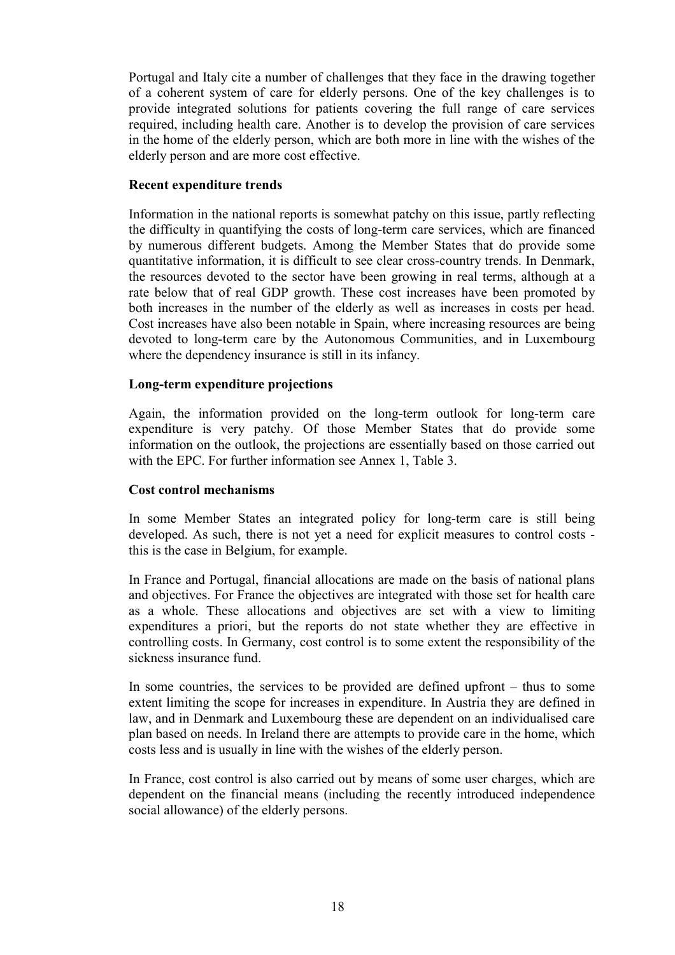Portugal and Italy cite a number of challenges that they face in the drawing together of a coherent system of care for elderly persons. One of the key challenges is to provide integrated solutions for patients covering the full range of care services required, including health care. Another is to develop the provision of care services in the home of the elderly person, which are both more in line with the wishes of the elderly person and are more cost effective.

# **Recent expenditure trends**

Information in the national reports is somewhat patchy on this issue, partly reflecting the difficulty in quantifying the costs of long-term care services, which are financed by numerous different budgets. Among the Member States that do provide some quantitative information, it is difficult to see clear cross-country trends. In Denmark, the resources devoted to the sector have been growing in real terms, although at a rate below that of real GDP growth. These cost increases have been promoted by both increases in the number of the elderly as well as increases in costs per head. Cost increases have also been notable in Spain, where increasing resources are being devoted to long-term care by the Autonomous Communities, and in Luxembourg where the dependency insurance is still in its infancy.

# **Long-term expenditure projections**

Again, the information provided on the long-term outlook for long-term care expenditure is very patchy. Of those Member States that do provide some information on the outlook, the projections are essentially based on those carried out with the EPC. For further information see Annex 1, Table 3.

#### **Cost control mechanisms**

In some Member States an integrated policy for long-term care is still being developed. As such, there is not yet a need for explicit measures to control costs this is the case in Belgium, for example.

In France and Portugal, financial allocations are made on the basis of national plans and objectives. For France the objectives are integrated with those set for health care as a whole. These allocations and objectives are set with a view to limiting expenditures a priori, but the reports do not state whether they are effective in controlling costs. In Germany, cost control is to some extent the responsibility of the sickness insurance fund.

In some countries, the services to be provided are defined upfront – thus to some extent limiting the scope for increases in expenditure. In Austria they are defined in law, and in Denmark and Luxembourg these are dependent on an individualised care plan based on needs. In Ireland there are attempts to provide care in the home, which costs less and is usually in line with the wishes of the elderly person.

In France, cost control is also carried out by means of some user charges, which are dependent on the financial means (including the recently introduced independence social allowance) of the elderly persons.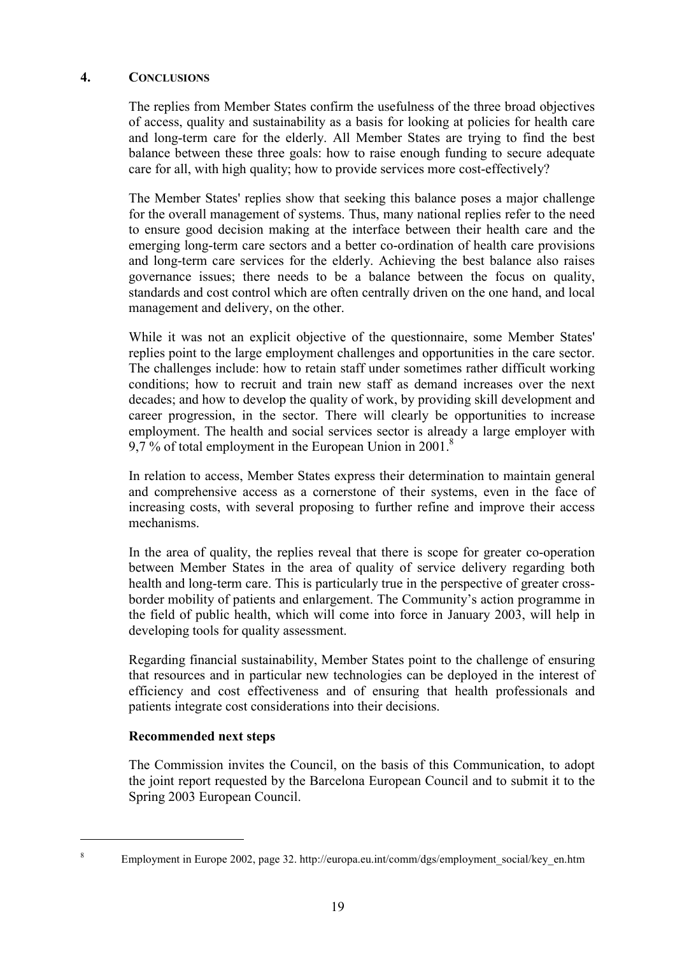# **4. CONCLUSIONS**

The replies from Member States confirm the usefulness of the three broad objectives of access, quality and sustainability as a basis for looking at policies for health care and long-term care for the elderly. All Member States are trying to find the best balance between these three goals: how to raise enough funding to secure adequate care for all, with high quality; how to provide services more cost-effectively?

The Member States' replies show that seeking this balance poses a major challenge for the overall management of systems. Thus, many national replies refer to the need to ensure good decision making at the interface between their health care and the emerging long-term care sectors and a better co-ordination of health care provisions and long-term care services for the elderly. Achieving the best balance also raises governance issues; there needs to be a balance between the focus on quality, standards and cost control which are often centrally driven on the one hand, and local management and delivery, on the other.

While it was not an explicit objective of the questionnaire, some Member States' replies point to the large employment challenges and opportunities in the care sector. The challenges include: how to retain staff under sometimes rather difficult working conditions; how to recruit and train new staff as demand increases over the next decades; and how to develop the quality of work, by providing skill development and career progression, in the sector. There will clearly be opportunities to increase employment. The health and social services sector is already a large employer with 9,7 % of total employment in the European Union in 2001.<sup>8</sup>

In relation to access, Member States express their determination to maintain general and comprehensive access as a cornerstone of their systems, even in the face of increasing costs, with several proposing to further refine and improve their access mechanisms.

In the area of quality, the replies reveal that there is scope for greater co-operation between Member States in the area of quality of service delivery regarding both health and long-term care. This is particularly true in the perspective of greater crossborder mobility of patients and enlargement. The Community's action programme in the field of public health, which will come into force in January 2003, will help in developing tools for quality assessment.

Regarding financial sustainability, Member States point to the challenge of ensuring that resources and in particular new technologies can be deployed in the interest of efficiency and cost effectiveness and of ensuring that health professionals and patients integrate cost considerations into their decisions.

# **Recommended next steps**

 $\overline{a}$ 

The Commission invites the Council, on the basis of this Communication, to adopt the joint report requested by the Barcelona European Council and to submit it to the Spring 2003 European Council.

<sup>&</sup>lt;sup>8</sup> Employment in Europe 2002, page 32. http://europa.eu.int/comm/dgs/employment\_social/key\_en.htm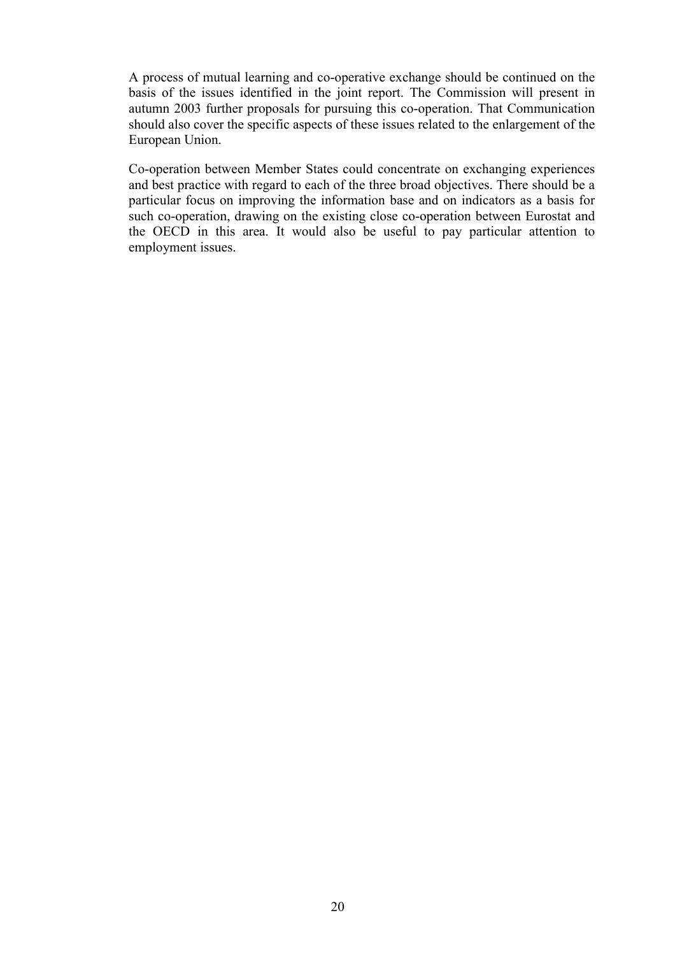A process of mutual learning and co-operative exchange should be continued on the basis of the issues identified in the joint report. The Commission will present in autumn 2003 further proposals for pursuing this co-operation. That Communication should also cover the specific aspects of these issues related to the enlargement of the European Union.

Co-operation between Member States could concentrate on exchanging experiences and best practice with regard to each of the three broad objectives. There should be a particular focus on improving the information base and on indicators as a basis for such co-operation, drawing on the existing close co-operation between Eurostat and the OECD in this area. It would also be useful to pay particular attention to employment issues.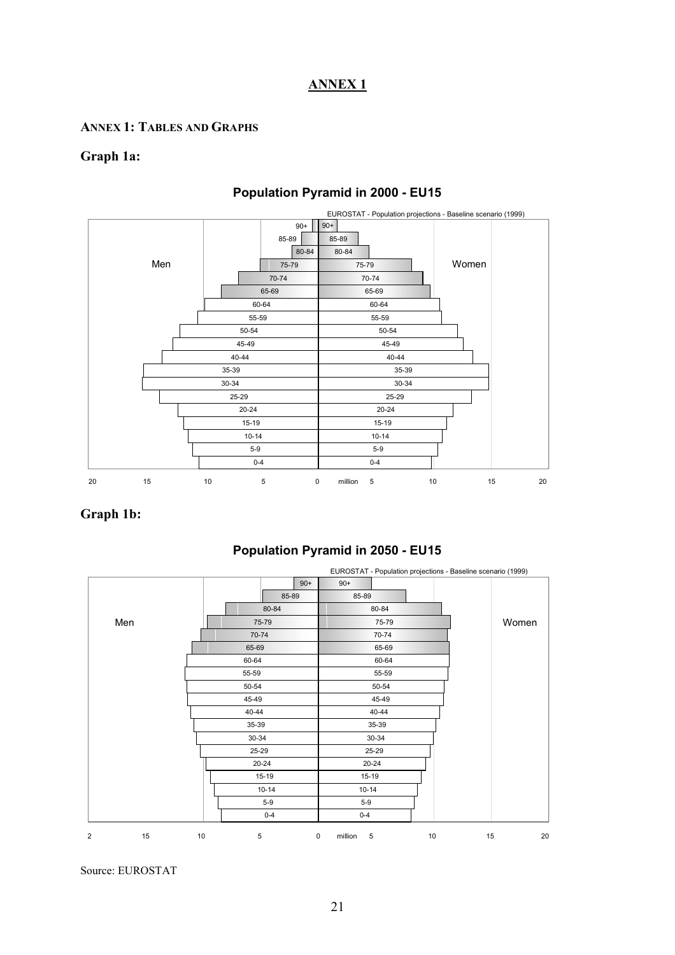# **ANNEX 1**

# **ANNEX 1: TABLES AND GRAPHS**

#### **Graph 1a:**



# **Population Pyramid in 2000 - EU15**

# **Graph 1b:**

# **Population Pyramid in 2050 - EU15**

|   |     |       |           |             |                        |           |    | EUROSTAT - Population projections - Baseline scenario (1999) |    |
|---|-----|-------|-----------|-------------|------------------------|-----------|----|--------------------------------------------------------------|----|
|   |     |       |           | $90+$       | $90+$                  |           |    |                                                              |    |
|   |     |       | 85-89     |             | 85-89                  |           |    |                                                              |    |
|   |     |       | 80-84     |             |                        | 80-84     |    |                                                              |    |
|   | Men |       | 75-79     |             |                        | 75-79     |    | Women                                                        |    |
|   |     |       | 70-74     |             |                        | 70-74     |    |                                                              |    |
|   |     |       | 65-69     |             |                        | 65-69     |    |                                                              |    |
|   |     | 60-64 |           |             |                        | 60-64     |    |                                                              |    |
|   |     | 55-59 |           |             |                        | 55-59     |    |                                                              |    |
|   |     | 50-54 |           |             |                        | 50-54     |    |                                                              |    |
|   |     | 45-49 |           |             |                        | 45-49     |    |                                                              |    |
|   |     |       | $40 - 44$ |             |                        | 40-44     |    |                                                              |    |
|   |     |       | 35-39     |             |                        | 35-39     |    |                                                              |    |
|   |     |       | 30-34     |             |                        | $30 - 34$ |    |                                                              |    |
|   |     |       | 25-29     |             |                        | 25-29     |    |                                                              |    |
|   |     |       | $20 - 24$ |             | $20 - 24$              |           |    |                                                              |    |
|   |     |       | $15 - 19$ |             | 15-19                  |           |    |                                                              |    |
|   |     |       | $10 - 14$ |             | $10 - 14$              |           |    |                                                              |    |
|   |     |       | $5 - 9$   |             | $5-9$                  |           |    |                                                              |    |
|   |     |       | $0 - 4$   |             | $0 - 4$                |           |    |                                                              |    |
| 2 | 15  | 10    | 5         | $\mathsf 0$ | $\,$ 5 $\,$<br>million |           | 10 | 15                                                           | 20 |

Source: EUROSTAT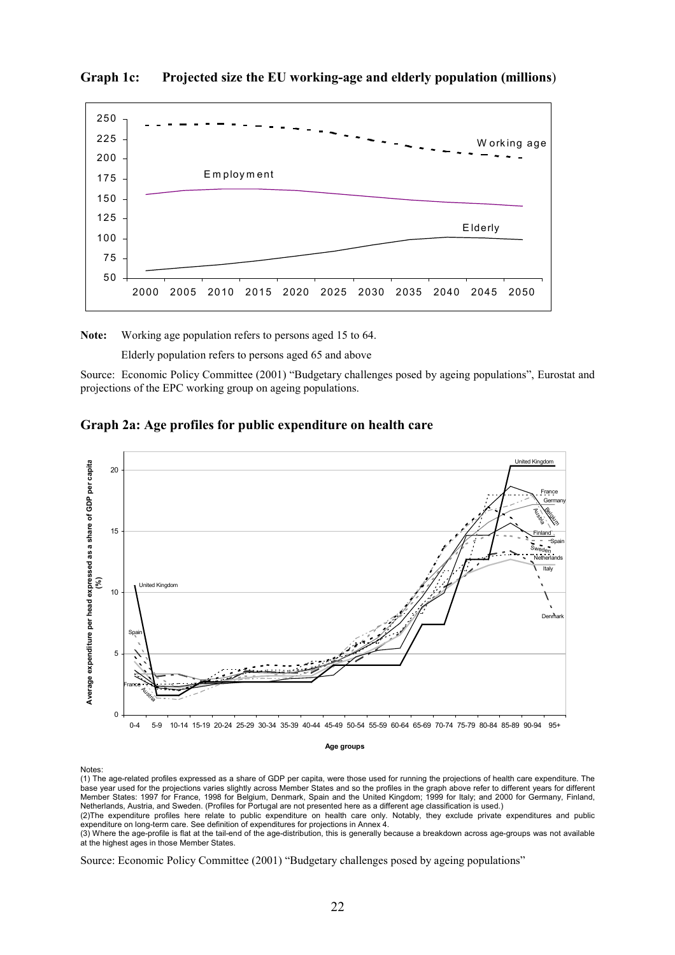

#### **Graph 1c: Projected size the EU working-age and elderly population (millions**)

**Note:** Working age population refers to persons aged 15 to 64.

Elderly population refers to persons aged 65 and above

Source: Economic Policy Committee (2001) "Budgetary challenges posed by ageing populations", Eurostat and projections of the EPC working group on ageing populations.





#### **Age groups**

Notes:

(1) The age-related profiles expressed as a share of GDP per capita, were those used for running the projections of health care expenditure. The base year used for the projections varies slightly across Member States and so the profiles in the graph above refer to different years for different Member States: 1997 for France, 1998 for Belgium, Denmark, Spain and the United Kingdom; 1999 for Italy; and 2000 for Germany, Finland, Netherlands, Austria, and Sweden. (Profiles for Portugal are not presented here as a different age classification is used.)

(2)The expenditure profiles here relate to public expenditure on health care only. Notably, they exclude private expenditures and public expenditure on long-term care. See definition of expenditures for projections in Annex 4.

(3) Where the age-profile is flat at the tail-end of the age-distribution, this is generally because a breakdown across age-groups was not available at the highest ages in those Member States.

Source: Economic Policy Committee (2001) "Budgetary challenges posed by ageing populations"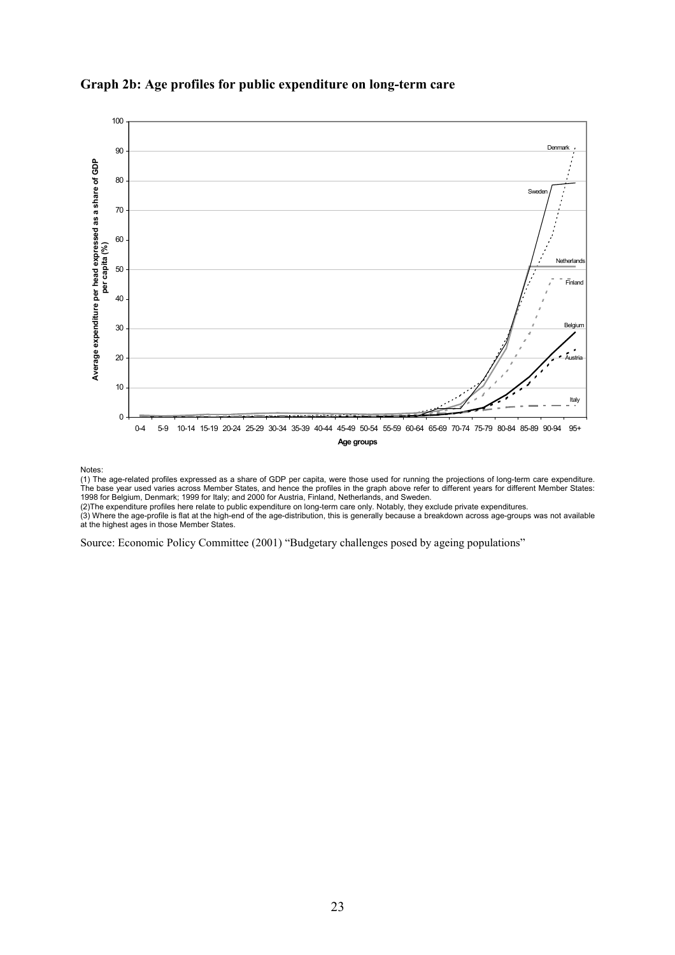

# **Graph 2b: Age profiles for public expenditure on long-term care**

Notes:

(1) The age-related profiles expressed as a share of GDP per capita, were those used for running the projections of long-term care expenditure. The base year used varies across Member States, and hence the profiles in the graph above refer to different years for different Member States: 1998 for Belgium, Denmark; 1999 for Italy; and 2000 for Austria, Finland, Netherlands, and Sweden.

(2)The expenditure profiles here relate to public expenditure on long-term care only. Notably, they exclude private expenditures.

(3) Where the age-profile is flat at the high-end of the age-distribution, this is generally because a breakdown across age-groups was not available at the highest ages in those Member States.

Source: Economic Policy Committee (2001) "Budgetary challenges posed by ageing populations"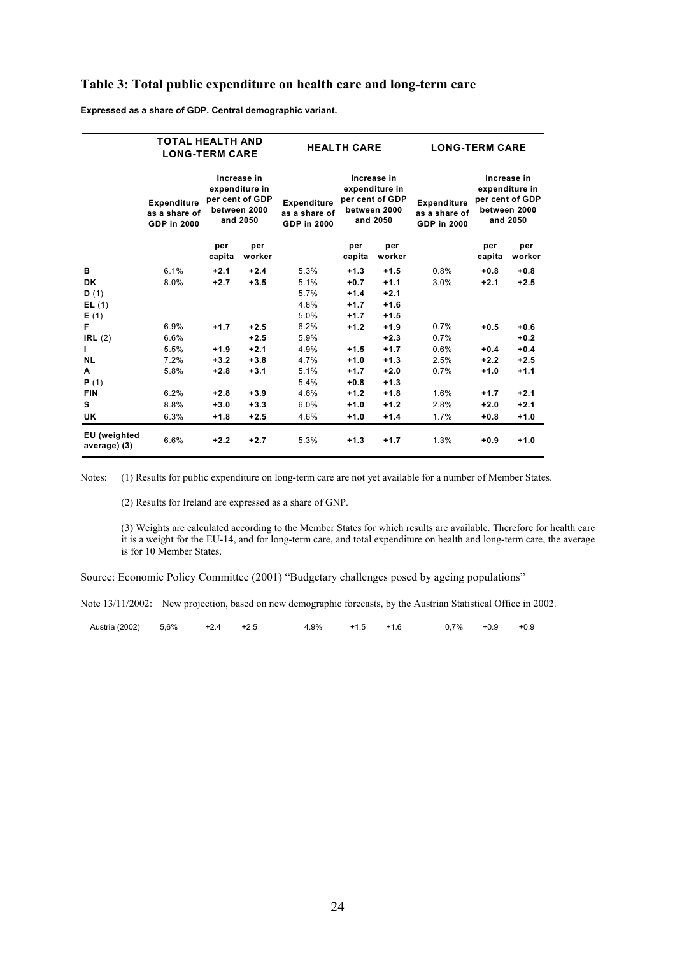#### **Table 3: Total public expenditure on health care and long-term care**

**Expressed as a share of GDP. Central demographic variant.**

|                              | <b>TOTAL HEALTH AND</b><br><b>LONG-TERM CARE</b>          |                                                                                                                |        |                                                           | <b>HEALTH CARE</b>             |                                                                              | <b>LONG-TERM CARE</b>                                     |                                                                              |               |  |  |
|------------------------------|-----------------------------------------------------------|----------------------------------------------------------------------------------------------------------------|--------|-----------------------------------------------------------|--------------------------------|------------------------------------------------------------------------------|-----------------------------------------------------------|------------------------------------------------------------------------------|---------------|--|--|
|                              | <b>Expenditure</b><br>as a share of<br><b>GDP in 2000</b> | Increase in<br>expenditure in<br>per cent of GDP<br>between 2000<br>and 2050<br>per<br>per<br>worker<br>capita |        | <b>Expenditure</b><br>as a share of<br><b>GDP in 2000</b> |                                | Increase in<br>expenditure in<br>per cent of GDP<br>between 2000<br>and 2050 | <b>Expenditure</b><br>as a share of<br><b>GDP in 2000</b> | Increase in<br>expenditure in<br>per cent of GDP<br>between 2000<br>and 2050 |               |  |  |
|                              |                                                           |                                                                                                                |        |                                                           | per<br>per<br>capita<br>worker |                                                                              |                                                           | per<br>capita                                                                | per<br>worker |  |  |
| B                            | 6.1%                                                      | $+2.1$                                                                                                         | $+2.4$ | 5.3%                                                      | $+1.3$                         | $+1.5$                                                                       | 0.8%                                                      | $+0.8$                                                                       | $+0.8$        |  |  |
| <b>DK</b>                    | 8.0%                                                      | $+2.7$                                                                                                         | $+3.5$ | 5.1%                                                      | $+0.7$                         | $+1.1$                                                                       | 3.0%                                                      | $+2.1$                                                                       | $+2.5$        |  |  |
| D(1)                         |                                                           |                                                                                                                |        | 5.7%                                                      | $+1.4$                         | $+2.1$                                                                       |                                                           |                                                                              |               |  |  |
| EL(1)                        |                                                           |                                                                                                                |        | 4.8%                                                      | $+1.7$                         | $+1.6$                                                                       |                                                           |                                                                              |               |  |  |
| E(1)                         |                                                           |                                                                                                                |        | 5.0%                                                      | $+1.7$                         | $+1.5$                                                                       |                                                           |                                                                              |               |  |  |
| F                            | 6.9%                                                      | $+1.7$                                                                                                         | $+2.5$ | 6.2%                                                      | $+1.2$                         | $+1.9$                                                                       | 0.7%                                                      | $+0.5$                                                                       | $+0.6$        |  |  |
| IRL(2)                       | 6.6%                                                      |                                                                                                                | $+2.5$ | 5.9%                                                      |                                | $+2.3$                                                                       | 0.7%                                                      |                                                                              | $+0.2$        |  |  |
| $\mathbf{I}$                 | 5.5%                                                      | $+1.9$                                                                                                         | $+2.1$ | 4.9%                                                      | $+1.5$                         | $+1.7$                                                                       | 0.6%                                                      | $+0.4$                                                                       | $+0.4$        |  |  |
| <b>NL</b>                    | 7.2%                                                      | $+3.2$                                                                                                         | $+3.8$ | 4.7%                                                      | $+1.0$                         | $+1.3$                                                                       | 2.5%                                                      | $+2.2$                                                                       | $+2.5$        |  |  |
| A                            | 5.8%                                                      | $+2.8$                                                                                                         | $+3.1$ | 5.1%                                                      | $+1.7$                         | $+2.0$                                                                       | 0.7%                                                      | $+1.0$                                                                       | $+1.1$        |  |  |
| P(1)                         |                                                           |                                                                                                                |        | 5.4%                                                      | $+0.8$                         | $+1.3$                                                                       |                                                           |                                                                              |               |  |  |
| <b>FIN</b>                   | 6.2%                                                      | $+2.8$                                                                                                         | $+3.9$ | 4.6%                                                      | $+1.2$                         | $+1.8$                                                                       | 1.6%                                                      | $+1.7$                                                                       | $+2.1$        |  |  |
| s                            | 8.8%                                                      | $+3.0$                                                                                                         | $+3.3$ | 6.0%                                                      | $+1.0$                         | $+1.2$                                                                       | 2.8%                                                      | $+2.0$                                                                       | $+2.1$        |  |  |
| UK.                          | 6.3%                                                      | $+1.8$                                                                                                         | $+2.5$ | 4.6%                                                      | $+1.0$                         | $+1.4$                                                                       | 1.7%                                                      | $+0.8$                                                                       | $+1.0$        |  |  |
| EU (weighted<br>average) (3) | 6.6%                                                      | $+2.2$                                                                                                         | $+2.7$ | 5.3%                                                      | $+1.3$                         | $+1.7$                                                                       | 1.3%                                                      | $+0.9$                                                                       | $+1.0$        |  |  |

Notes: (1) Results for public expenditure on long-term care are not yet available for a number of Member States.

(2) Results for Ireland are expressed as a share of GNP.

(3) Weights are calculated according to the Member States for which results are available. Therefore for health care it is a weight for the EU-14, and for long-term care, and total expenditure on health and long-term care, the average is for 10 Member States.

Source: Economic Policy Committee (2001) "Budgetary challenges posed by ageing populations"

Note 13/11/2002: New projection, based on new demographic forecasts, by the Austrian Statistical Office in 2002.

| Austria (2002) | 5.6% | $+24$ | .9% | +1.6 | 7%<br>υ. | $+0.9$ | $+0.9$ |
|----------------|------|-------|-----|------|----------|--------|--------|
|                |      |       |     |      |          |        |        |